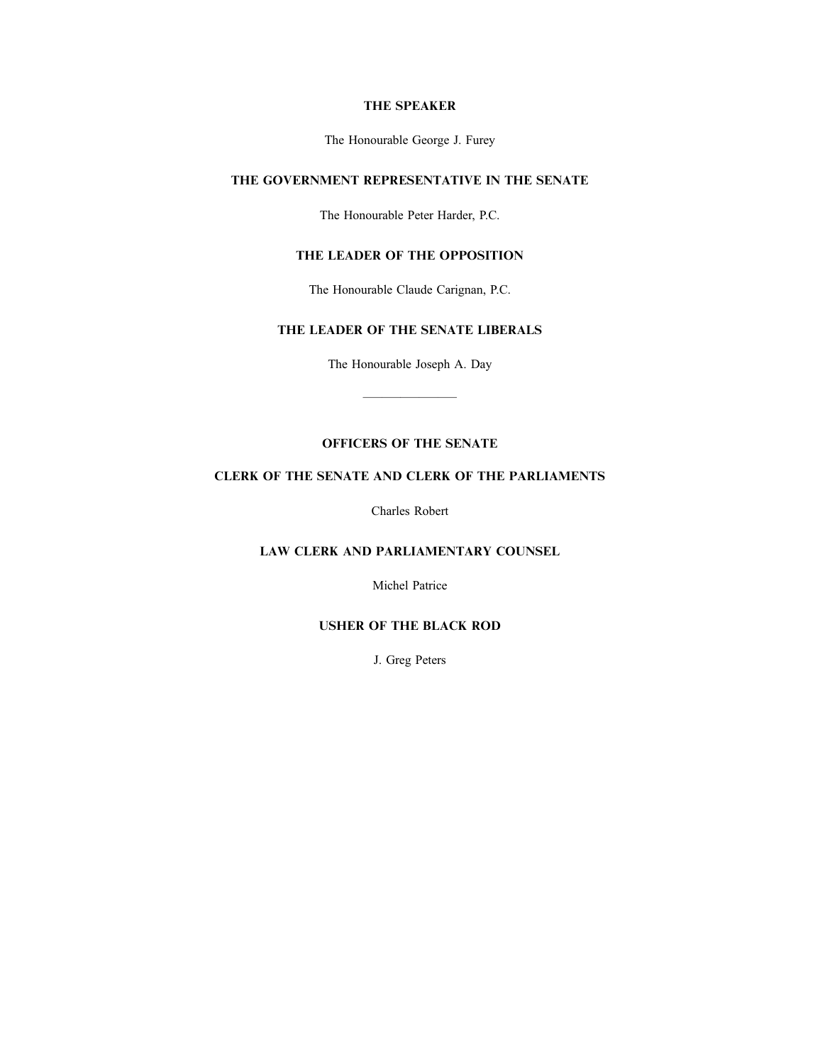#### THE SPEAKER

The Honourable George J. Furey

#### THE GOVERNMENT REPRESENTATIVE IN THE SENATE

The Honourable Peter Harder, P.C.

#### THE LEADER OF THE OPPOSITION

The Honourable Claude Carignan, P.C.

#### THE LEADER OF THE SENATE LIBERALS

The Honourable Joseph A. Day

—————

#### OFFICERS OF THE SENATE

#### CLERK OF THE SENATE AND CLERK OF THE PARLIAMENTS

Charles Robert

#### LAW CLERK AND PARLIAMENTARY COUNSEL

Michel Patrice

### USHER OF THE BLACK ROD

J. Greg Peters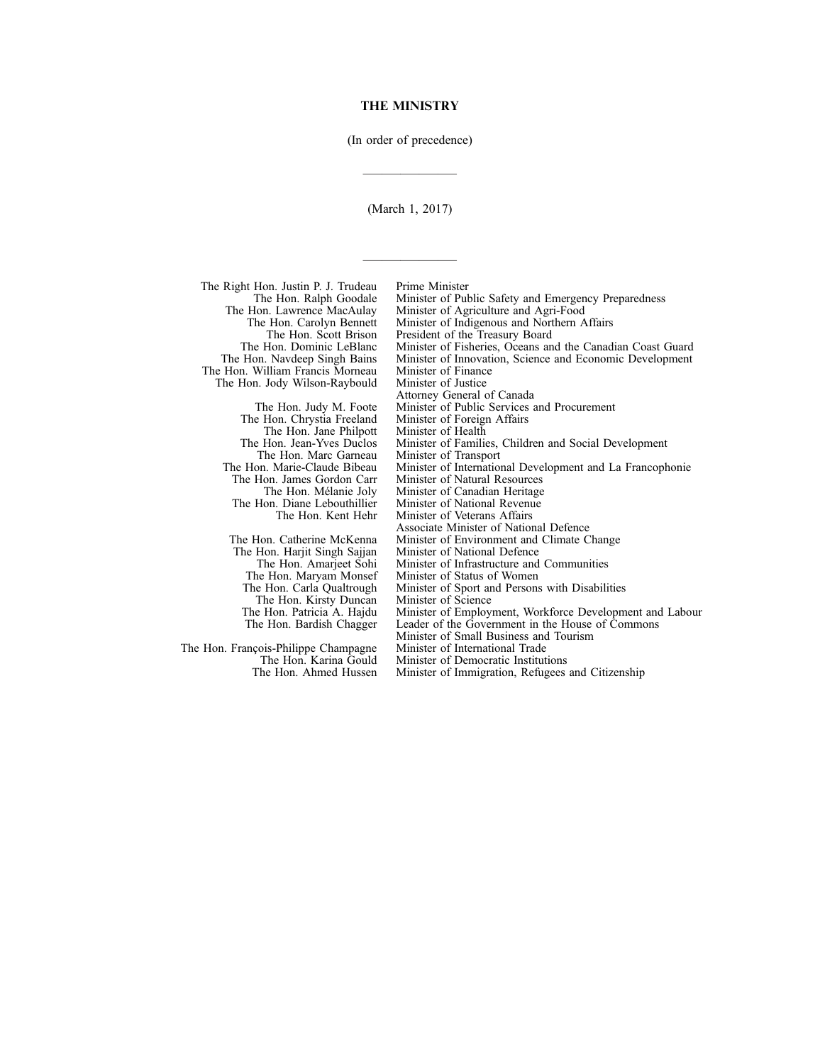#### (In order of precedence)

—————

#### (March 1, 2017)

—————

The Right Hon. Justin P. J. Trudeau Prime Minister The Hon. Ralph Goodale Minister of Public Safety and Emergency Preparedness<br>The Hon. Lawrence MacAulay Minister of Agriculture and Agri-Food Hon. Lawrence MacAulay Minister of Agriculture and Agri-Food<br>The Hon. Carolyn Bennett Minister of Indigenous and Northern A Hon. Carolyn Bennett Minister of Indigenous and Northern Affairs<br>The Hon. Scott Brison President of the Treasury Board The Hon. Scott Brison President of the Treasury Board<br>The Hon. Dominic LeBlanc Minister of Fisheries, Oceans an The Hon. Dominic LeBlanc Minister of Fisheries, Oceans and the Canadian Coast Guard<br>The Hon. Navdeep Singh Bains Minister of Innovation, Science and Economic Development The Hon. William Francis Morneau Minister of Finance<br>The Hon. Jody Wilson-Raybould Minister of Justice

The Hon. Jody Wilson-Raybould

The Hon. Jane Philpott<br>The Hon. Jean-Yves Duclos

The Hon. Marc Garneau<br>The Hon. Marie-Claude Bibeau

The Hon. James Gordon Carr<br>The Hon. Mélanie Joly

The Hon. Harjit Singh Sajjan<br>The Hon. Amarjeet Sohi

The Hon. Maryam Monsef<br>The Hon. Carla Qualtrough

The Hon. Kirsty Duncan

- 
- 
- 
- 
- 
- Minister of Innovation, Science and Economic Development<br>Minister of Finance
- -
	- Attorney General of Canada
- The Hon. Judy M. Foote Minister of Public Services and Procurement<br>e Hon. Chrystia Freeland Minister of Foreign Affairs
	-
- The Hon. Chrystia Freeland Minister of Foreign<br>The Hon. Jane Philpott Minister of Health
	-
	- Minister of Families, Children and Social Development<br>Minister of Transport
	-
	- Minister of International Development and La Francophonie<br>Minister of Natural Resources
	-
- The Hon. Mélanie Joly Minister of Canadian Heritage<br>The Hon. Diane Lebouthillier Minister of National Revenue
	-
	- . Diane Lebouthillier Minister of National Revenue<br>The Hon. Kent Hehr Minister of Veterans Affairs Minister of Veterans Affairs
		- Associate Minister of National Defence
- The Hon. Catherine McKenna Minister of Environment and Climate Change<br>The Hon. Harjit Singh Sajjan Minister of National Defence
	-
	-
	- Minister of Infrastructure and Communities<br>Minister of Status of Women
	- Minister of Sport and Persons with Disabilities<br>Minister of Science
	-
	-
	- The Hon. Patricia A. Hajdu Minister of Employment, Workforce Development and Labour Leader of the Government in the House of Commons
		-
		- Minister of Small Business and Tourism
		-
		-
		- Minister of Immigration, Refugees and Citizenship
- The Hon. François-Philippe Champagne<br>The Hon. Karina Gould The Hon. Karina Gould Minister of Democratic Institutions<br>The Hon. Ahmed Hussen Minister of Immigration, Refugees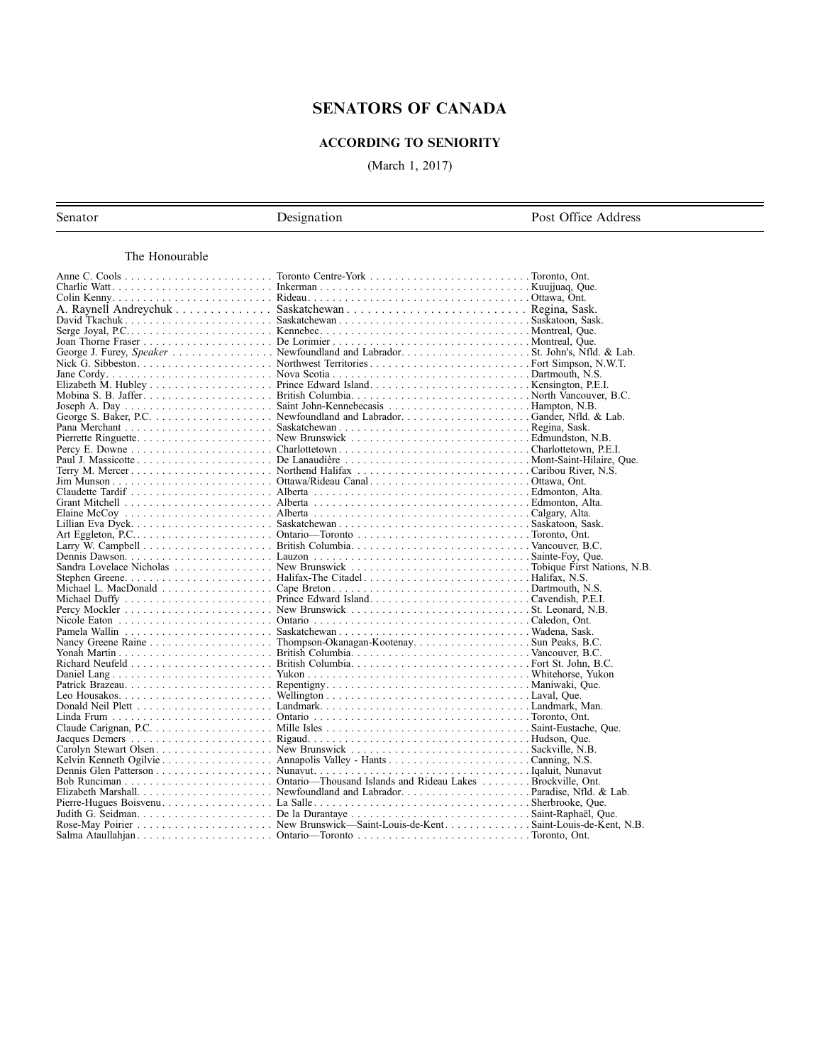## SENATORS OF CANADA

### ACCORDING TO SENIORITY

(March 1, 2017)

Senator Designation Post Office Address

#### The Honourable

| Nancy Greene Raine Thompson-Okanagan-Kootenay. Sun Peaks, B.C. |  |
|----------------------------------------------------------------|--|
|                                                                |  |
|                                                                |  |
|                                                                |  |
|                                                                |  |
|                                                                |  |
|                                                                |  |
|                                                                |  |
|                                                                |  |
|                                                                |  |
|                                                                |  |
|                                                                |  |
|                                                                |  |
|                                                                |  |
|                                                                |  |
|                                                                |  |
|                                                                |  |
|                                                                |  |
|                                                                |  |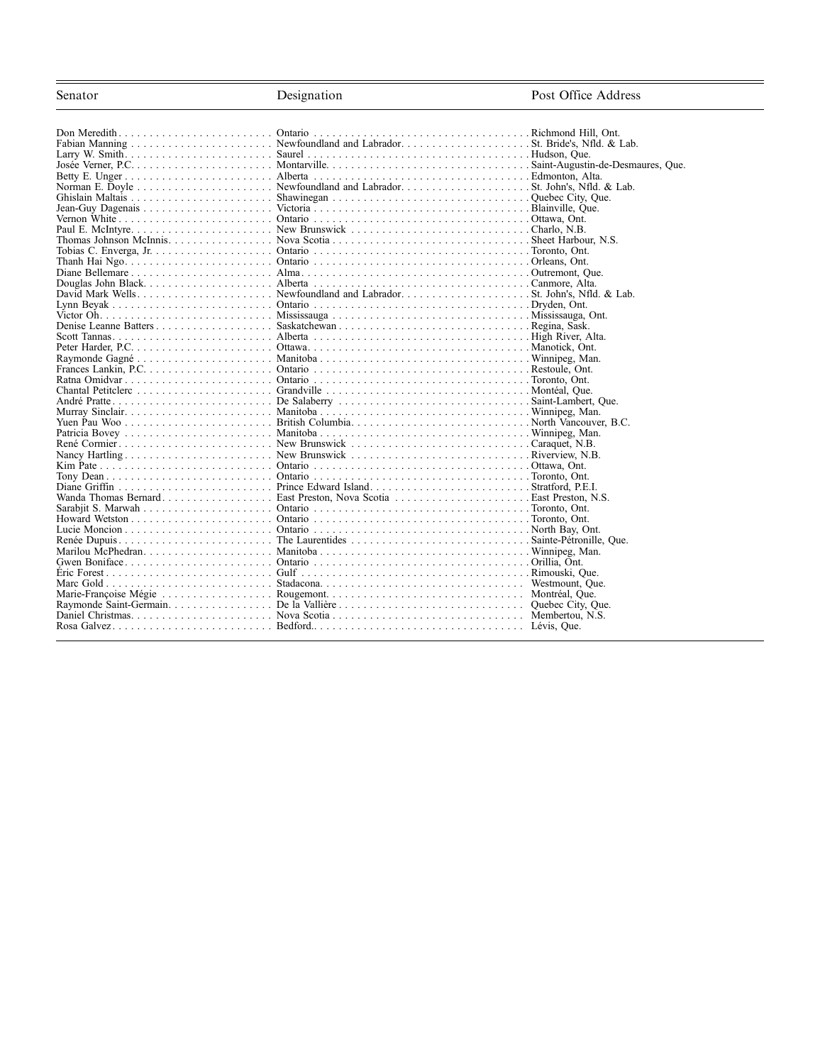| Post Office Address<br>Designation<br>Don Meredith |         |  |
|----------------------------------------------------|---------|--|
|                                                    | Senator |  |
|                                                    |         |  |
|                                                    |         |  |
|                                                    |         |  |
|                                                    |         |  |
|                                                    |         |  |
|                                                    |         |  |
|                                                    |         |  |
|                                                    |         |  |
|                                                    |         |  |
|                                                    |         |  |
|                                                    |         |  |
|                                                    |         |  |
|                                                    |         |  |
|                                                    |         |  |
|                                                    |         |  |
|                                                    |         |  |
|                                                    |         |  |
|                                                    |         |  |
|                                                    |         |  |
|                                                    |         |  |
|                                                    |         |  |
|                                                    |         |  |
|                                                    |         |  |
|                                                    |         |  |
|                                                    |         |  |
|                                                    |         |  |
|                                                    |         |  |
|                                                    |         |  |
|                                                    |         |  |
|                                                    |         |  |
|                                                    |         |  |
|                                                    |         |  |
|                                                    |         |  |
|                                                    |         |  |
|                                                    |         |  |
|                                                    |         |  |
|                                                    |         |  |
|                                                    |         |  |
|                                                    |         |  |
|                                                    |         |  |
|                                                    |         |  |
|                                                    |         |  |
|                                                    |         |  |
|                                                    |         |  |
|                                                    |         |  |
|                                                    |         |  |
|                                                    |         |  |
|                                                    |         |  |
|                                                    |         |  |
|                                                    |         |  |
|                                                    |         |  |
|                                                    |         |  |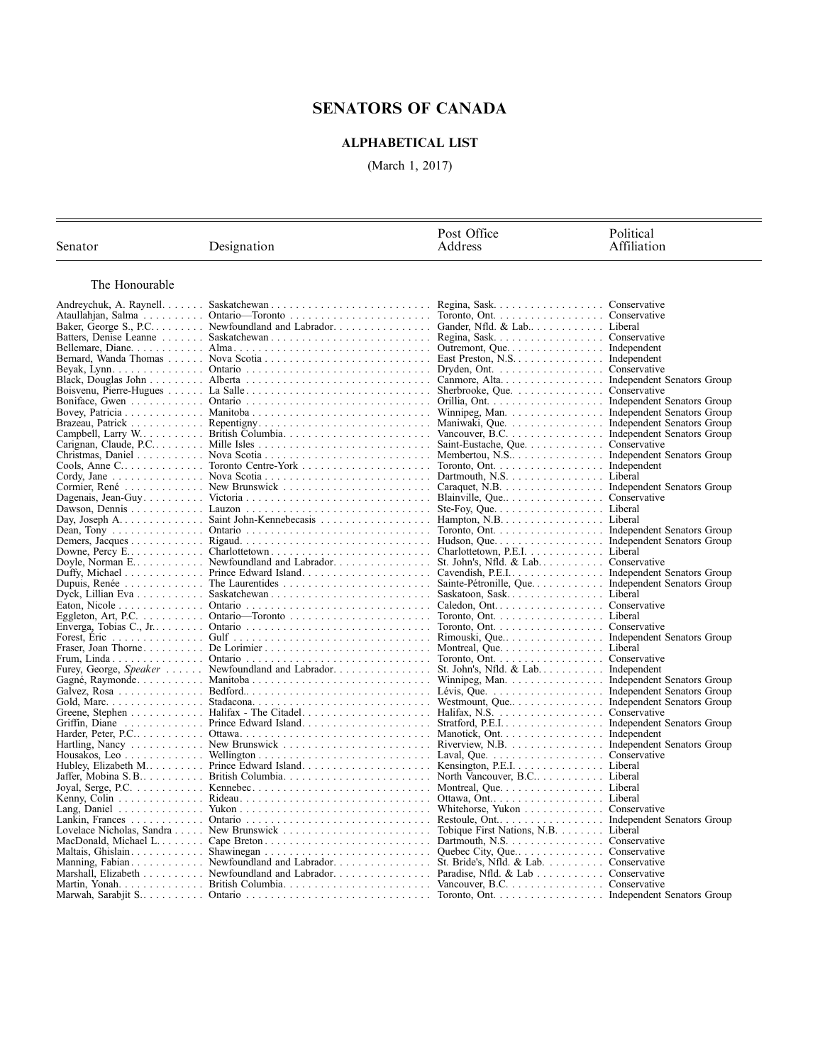## SENATORS OF CANADA

### ALPHABETICAL LIST

(March 1, 2017)

|                                            |                                                                                   | Post Office                                          | Political                  |
|--------------------------------------------|-----------------------------------------------------------------------------------|------------------------------------------------------|----------------------------|
| Senator                                    | Designation                                                                       | Address                                              | Affiliation                |
|                                            |                                                                                   |                                                      |                            |
| The Honourable                             |                                                                                   |                                                      |                            |
| Andreychuk, A. Raynell.                    |                                                                                   |                                                      | Conservative               |
| Ataullahjan, Salma                         |                                                                                   | Toronto, Ont. $\dots \dots \dots \dots \dots$        | Conservative               |
|                                            |                                                                                   | Gander, Nfld. & Lab                                  | Liberal                    |
| Batters, Denise Leanne                     |                                                                                   | Regina, Sask                                         | Conservative               |
|                                            |                                                                                   | Outremont, Que. Independent                          |                            |
|                                            | Bernard, Wanda Thomas  Nova Scotia                                                |                                                      | Independent                |
|                                            |                                                                                   | Dryden, Ont. $\ldots$ , $\ldots$ , $\ldots$          | Conservative               |
|                                            |                                                                                   | Canmore, Alta                                        | Independent Senators Group |
|                                            |                                                                                   | Sherbrooke, Que. $\dots \dots \dots \dots$           | Conservative               |
|                                            |                                                                                   |                                                      |                            |
|                                            |                                                                                   | Winnipeg, Man. $\ldots \ldots \ldots \ldots$         | Independent Senators Group |
|                                            |                                                                                   | Maniwaki, Que.                                       | Independent Senators Group |
|                                            | Campbell, Larry W British Columbia                                                | Vancouver, $B.C. \ldots \ldots \ldots \ldots \ldots$ | Independent Senators Group |
|                                            |                                                                                   | Saint-Eustache, Que.                                 | Conservative               |
|                                            |                                                                                   | Membertou, $N.S. \ldots \ldots \ldots \ldots$        | Independent Senators Group |
| Cools, Anne $C_{1}, \ldots, C_{n}$         |                                                                                   | Toronto, Ont. $\dots$ , $\dots$ , $\dots$ , $\dots$  | Independent                |
|                                            |                                                                                   | Dartmouth, N.S. $\ldots$ , $\ldots$ , $\ldots$       | Liberal                    |
|                                            |                                                                                   | Caraquet, N.B. $\dots \dots \dots \dots \dots$       | Independent Senators Group |
|                                            |                                                                                   |                                                      | Conservative               |
|                                            |                                                                                   |                                                      |                            |
|                                            |                                                                                   | Toronto, Ont. Independent Senators Group             |                            |
|                                            |                                                                                   |                                                      |                            |
|                                            |                                                                                   | Charlottetown, P.E.I. Liberal                        |                            |
|                                            |                                                                                   | St. John's, Nfld. & Lab Conservative                 |                            |
|                                            |                                                                                   | Cavendish, P.E.I. Independent Senators Group         |                            |
|                                            |                                                                                   | Sainte-Pétronille, Que.                              | Independent Senators Group |
| Dyck, Lillian Eva                          |                                                                                   | Saskatoon, Sask                                      | Liberal                    |
|                                            |                                                                                   | Caledon, Ont. Conservative                           |                            |
|                                            |                                                                                   | Toronto, Ont. Liberal                                |                            |
|                                            |                                                                                   |                                                      |                            |
| Forest, Eric $\ldots \ldots \ldots \ldots$ |                                                                                   |                                                      | Independent Senators Group |
|                                            |                                                                                   | Montreal, Que. $\dots \dots \dots \dots \dots$       | Liberal                    |
|                                            |                                                                                   |                                                      | Conservative               |
| Furey, George, Speaker                     | Newfoundland and Labrador                                                         | St. John's, Nfld. $&$ Lab                            | Independent                |
| Gagné, Raymonde                            |                                                                                   |                                                      | Independent Senators Group |
| Galvez. Rosa                               |                                                                                   |                                                      |                            |
| Gold, Marc.                                |                                                                                   |                                                      | Independent Senators Group |
|                                            |                                                                                   |                                                      | Conservative               |
|                                            |                                                                                   |                                                      | Independent Senators Group |
|                                            |                                                                                   |                                                      | Independent                |
|                                            |                                                                                   |                                                      |                            |
| Housakos, Leo                              |                                                                                   |                                                      | Conservative               |
|                                            |                                                                                   |                                                      |                            |
|                                            |                                                                                   |                                                      |                            |
|                                            |                                                                                   |                                                      |                            |
|                                            |                                                                                   |                                                      |                            |
|                                            |                                                                                   |                                                      | Conservative               |
|                                            |                                                                                   |                                                      | Independent Senators Group |
|                                            | Lovelace Nicholas, Sandra  New Brunswick                                          | Tobique First Nations, N.B.                          | Liberal                    |
|                                            |                                                                                   |                                                      |                            |
|                                            |                                                                                   |                                                      |                            |
|                                            |                                                                                   |                                                      |                            |
|                                            | Marshall, Elizabeth Newfoundland and Labrador. Paradise, Nfld. & Lab Conservative |                                                      |                            |
|                                            |                                                                                   |                                                      |                            |
|                                            |                                                                                   |                                                      |                            |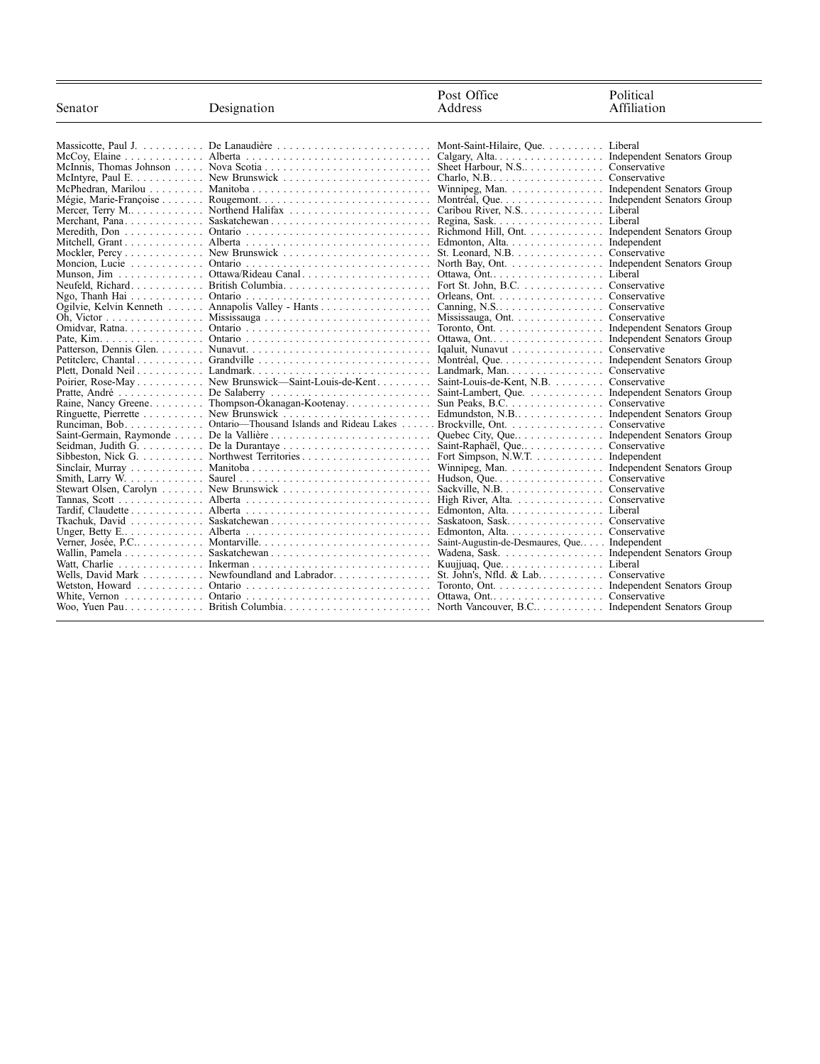| Senator                                       | Designation                                                                 | Post Office<br>Address                                  | Political<br>Affiliation          |
|-----------------------------------------------|-----------------------------------------------------------------------------|---------------------------------------------------------|-----------------------------------|
|                                               |                                                                             |                                                         |                                   |
| Massicotte, Paul J.                           | De Lanaudière                                                               | Mont-Saint-Hilaire, Que.                                | Liberal                           |
| $McCoy,$ Elaine $\ldots \ldots \ldots \ldots$ |                                                                             | Calgary, Alta.                                          | Independent Senators Group        |
|                                               |                                                                             | Sheet Harbour, N.S                                      | Conservative                      |
| McIntyre, Paul E.                             |                                                                             | Charlo, N.B. $\dots \dots \dots \dots \dots \dots$      | Conservative                      |
|                                               |                                                                             | Winnipeg, Man.                                          | Independent Senators Group        |
| Mégie, Marie-Françoise                        |                                                                             | Montréal, Que.                                          | Independent Senators Group        |
| Mercer, Terry $M_{1}, \ldots, \ldots, \ldots$ |                                                                             | Caribou River, N.S.                                     | Liberal                           |
| Merchant, Pana                                |                                                                             | Regina, Sask.                                           | Liberal                           |
| Meredith, $Don \dots \dots \dots \dots$       |                                                                             | Richmond Hill, Ont.                                     | Independent Senators Group        |
| Mitchell, Grant                               |                                                                             | Edmonton, Alta. $\ldots \ldots \ldots \ldots \ldots$    | Independent                       |
| Mockler, $Percv$                              |                                                                             | St. Leonard, N.B. $\dots \dots \dots \dots$             | Conservative                      |
| Moncion, Lucie                                |                                                                             | North Bay, Ont. $\ldots$ , $\ldots$ , $\ldots$          | Independent Senators Group        |
| Munson. Jim $\ldots \ldots \ldots \ldots$     |                                                                             | Ottawa, Ont                                             | Liberal                           |
| Neufeld, Richard.                             | British Columbia                                                            | Fort St. John, B.C. $\dots$                             | Conservative                      |
| Ngo, Thanh Hai                                |                                                                             | Orleans, Ont. $\dots \dots \dots \dots \dots$           | Conservative                      |
| Ogilvie, Kelvin Kenneth                       | Annapolis Valley - Hants                                                    | Canning, $N.S. \ldots \ldots \ldots \ldots \ldots$      | Conservative                      |
| Oh, Victor                                    | Mississauga                                                                 | Mississauga, Ont.                                       | Conservative                      |
| Omidvar, Ratna.                               |                                                                             | Toronto, Ont. $\dots \dots \dots \dots \dots \dots$     | Independent Senators Group        |
| Pate, Kim.                                    |                                                                             | Ottawa, Ont                                             | <b>Independent Senators Group</b> |
| Patterson, Dennis Glen                        |                                                                             | Iqaluit, Nunavut                                        | Conservative                      |
| Petitclerc. Chantal                           | Grandville $\ldots \ldots \ldots \ldots \ldots \ldots \ldots \ldots \ldots$ | Montréal, Que.                                          | Independent Senators Group        |
| Plett, Donald Neil $\dots \dots \dots$        | Landmark                                                                    | Landmark, Man. $\ldots$ .                               | Conservative                      |
| Poirier, Rose-May                             | New Brunswick—Saint-Louis-de-Kent                                           | Saint-Louis-de-Kent, N.B.                               | Conservative                      |
| Pratte, André                                 |                                                                             | Saint-Lambert, Que.                                     | Independent Senators Group        |
| Raine, Nancy Greene                           | Thompson-Okanagan-Kootenay                                                  | Sun Peaks, B.C.                                         | Conservative                      |
| Ringuette, Pierrette $\dots \dots$            |                                                                             | Edmundston, N.B. $\ldots$                               | Independent Senators Group        |
| Runciman, $Bob. \ldots \ldots \ldots$         | Ontario-Thousand Islands and Rideau Lakes  Brockville, Ont.                 |                                                         | Conservative                      |
| Saint-Germain, Raymonde                       | De la Vallière                                                              | Quebec City, Que                                        | Independent Senators Group        |
| Seidman, Judith $G_{\cdot}$                   |                                                                             | Saint-Raphaël, Que                                      | Conservative                      |
| Sibbeston, Nick $G_{1}, \ldots, G_{n}$        |                                                                             | Fort Simpson, N.W.T. $\dots \dots \dots$                | Independent                       |
| Sinclair, Murray                              |                                                                             | Winnipeg, Man. $\ldots$ .                               | Independent Senators Group        |
| Smith, Larry W.                               |                                                                             | Hudson, Que.                                            | Conservative                      |
| Stewart Olsen, Carolyn                        |                                                                             | Sackville, N.B. $\dots \dots \dots \dots \dots$         | Conservative                      |
| Tannas, Scott                                 |                                                                             | High River, Alta.                                       | Conservative                      |
| Tardif, Claudette                             |                                                                             |                                                         | Liberal                           |
| Tkachuk, David                                |                                                                             |                                                         | Conservative                      |
| Unger, Betty $E_{1}, \ldots, \ldots, \ldots$  |                                                                             |                                                         | Conservative                      |
| Verner, Josée, P.C                            |                                                                             | Saint-Augustin-de-Desmaures, Que Independent            |                                   |
| Wallin, Pamela                                |                                                                             | Wadena, Sask. $\ldots$ , $\ldots$ , $\ldots$ , $\ldots$ | Independent Senators Group        |
| Watt, Charlie $\ldots \ldots \ldots \ldots$   |                                                                             |                                                         | Liberal                           |
|                                               | Wells, David Mark Newfoundland and Labrador.                                | St. John's, Nfld. & Lab                                 | Conservative                      |
| Wetston, Howard $\dots\dots\dots\dots$        |                                                                             | Toronto, Ont. $\dots \dots \dots \dots \dots \dots$     | Independent Senators Group        |
| White. Vernon $\ldots$ , $\ldots$             |                                                                             | Ottawa, Ont                                             | Conservative                      |
|                                               |                                                                             | North Vancouver, B.C                                    | Independent Senators Group        |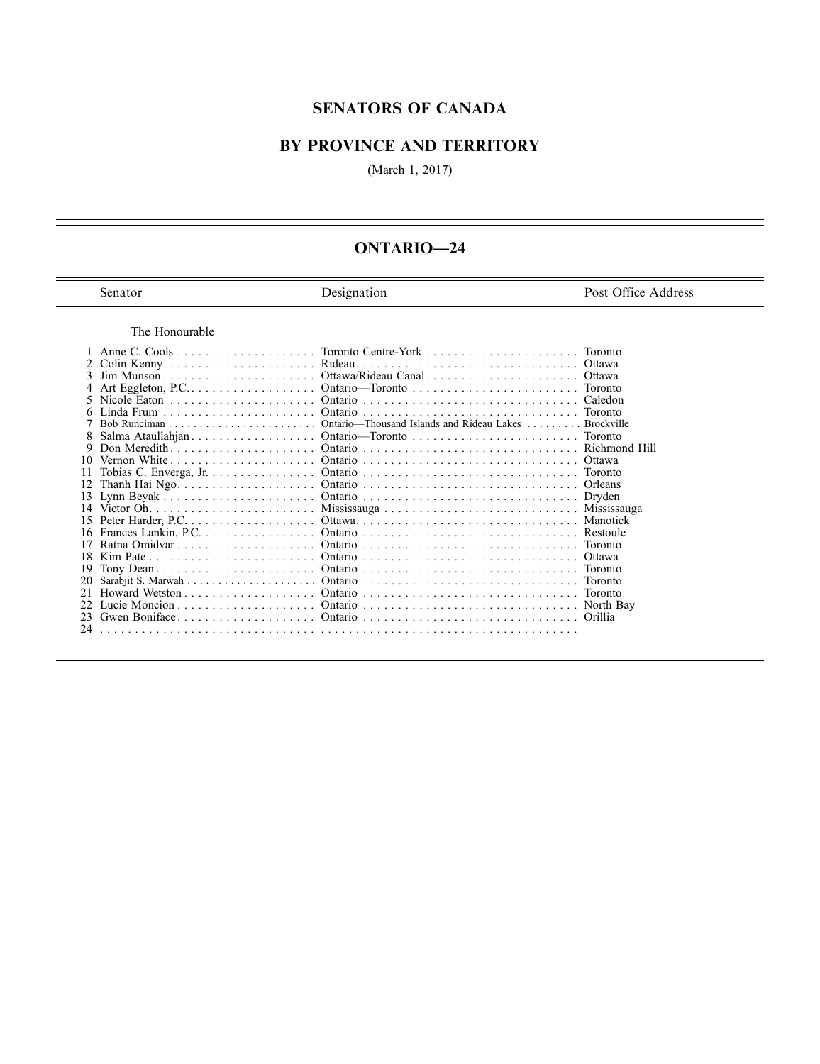## SENATORS OF CANADA

## BY PROVINCE AND TERRITORY

(March 1, 2017)

| Senator                                                         | Designation                               | Post Office Address |
|-----------------------------------------------------------------|-------------------------------------------|---------------------|
| The Honourable                                                  |                                           |                     |
|                                                                 |                                           | Toronto             |
| Colin Kenny                                                     | Rideau.                                   | Ottawa              |
| 3<br>$\lim$ Munson                                              | Ottawa/Rideau Canal.                      | Ottawa              |
| Art Eggleton, P.C. $\dots \dots \dots \dots \dots$              |                                           |                     |
| Nicole Eaton $\ldots \ldots \ldots \ldots$                      |                                           |                     |
| Linda Frum $\ldots \ldots \ldots \ldots \ldots$                 | Ontario                                   | Toronto             |
|                                                                 | Ontario-Thousand Islands and Rideau Lakes | <b>Brockville</b>   |
| Salma Ataullahjan<br>8                                          |                                           | Toronto             |
| Don Meredith. $\ldots$ , $\ldots$ , $\ldots$<br>9               |                                           | Richmond Hill       |
| Vernon White $\ldots$ $\ldots$ $\ldots$ $\ldots$ $\ldots$<br>10 |                                           |                     |
| Tobias C. Enverga, Jr.                                          |                                           | <b>Toronto</b>      |
| 12                                                              |                                           | Orleans             |
| Lynn Beyak<br>13                                                |                                           | Dryden              |
| Victor $Oh. \ldots \ldots \ldots \ldots$<br>14                  |                                           | Mississauga         |
| Peter Harder, P.C.<br>15                                        |                                           |                     |
| Frances Lankin, P.C.<br>16                                      |                                           |                     |
| Ratna Omidvar                                                   | Ontario                                   | <b>Toronto</b>      |
| $Kim$ Pate $\ldots$ $\ldots$ $\ldots$ $\ldots$<br>18            | Ontario                                   | Ottawa              |
| Tony Dean<br>19                                                 |                                           | <b>Toronto</b>      |
| 20                                                              | Ontario                                   | <b>Toronto</b>      |
| 2.1                                                             |                                           |                     |
| Lucie Moncion $\ldots$ , $\ldots$ , $\ldots$                    |                                           |                     |
| 23<br>Gwen Boniface.                                            | Ontario                                   | Orillia             |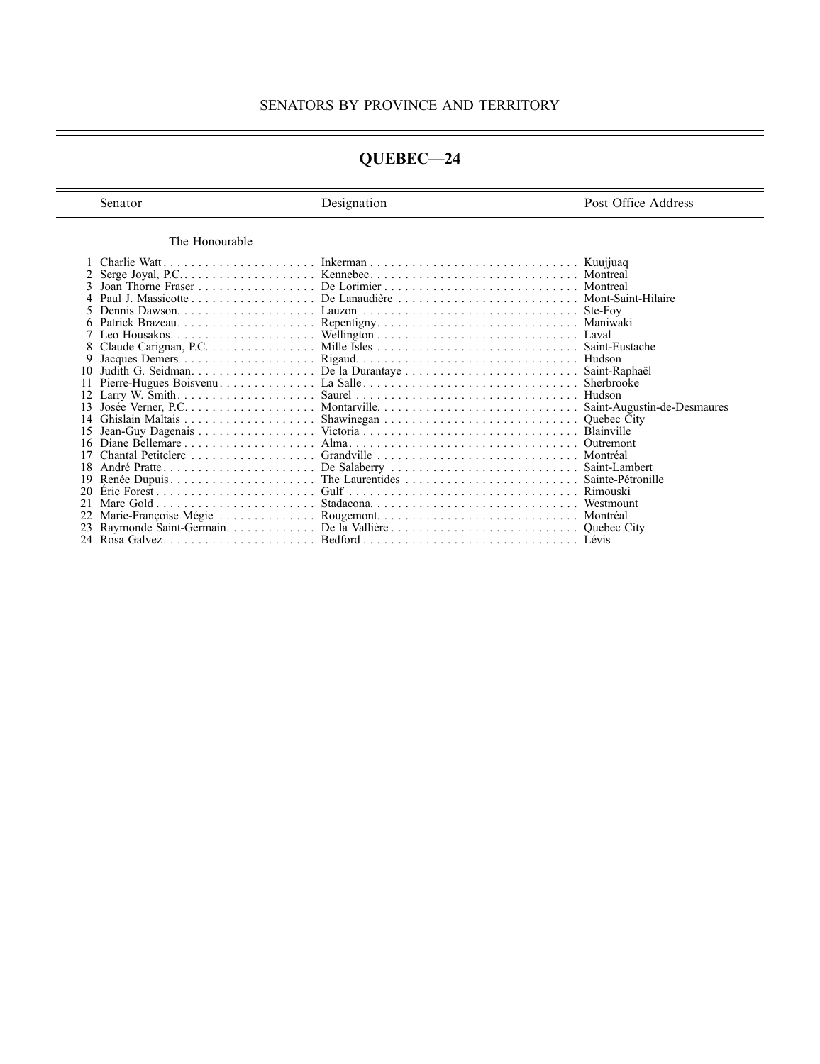# QUEBEC—24

Senator Designation Designation Post Office Address

#### The Honourable

|  | 22 Marie-Françoise Mégie  Rougemont Montréal |  |
|--|----------------------------------------------|--|
|  |                                              |  |
|  |                                              |  |
|  |                                              |  |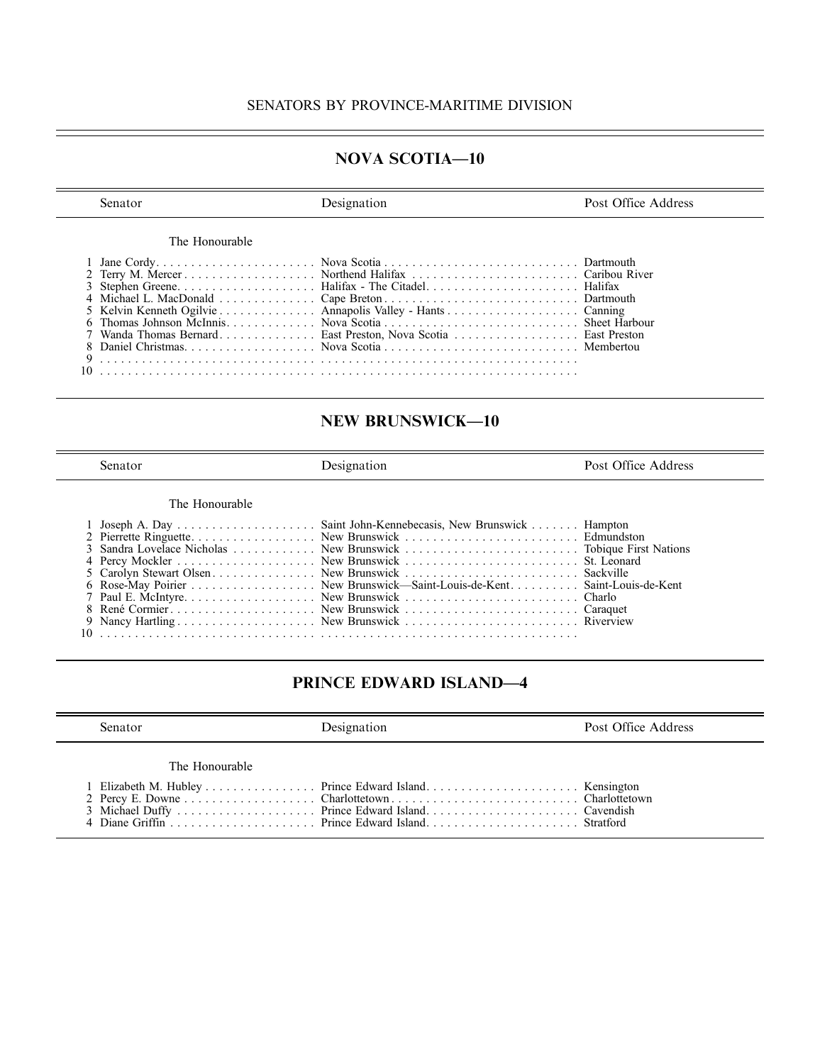## NOVA SCOTIA—10

| Senator |                | Designation | Post Office Address |
|---------|----------------|-------------|---------------------|
|         | The Honourable |             |                     |
|         |                |             |                     |
|         |                |             |                     |
|         |                |             |                     |
|         |                |             |                     |
|         |                |             |                     |
|         |                |             |                     |
|         |                |             |                     |
|         |                |             |                     |
|         |                |             |                     |
|         |                |             |                     |

## NEW BRUNSWICK—10

| Senator        | Designation                                                              | Post Office Address |
|----------------|--------------------------------------------------------------------------|---------------------|
| The Honourable |                                                                          |                     |
|                | 6 Rose-May Poirier New Brunswick—Saint-Louis-de-Kent Saint-Louis-de-Kent |                     |
|                |                                                                          |                     |

## PRINCE EDWARD ISLAND—4

| Senator        | Designation | Post Office Address |
|----------------|-------------|---------------------|
| The Honourable |             |                     |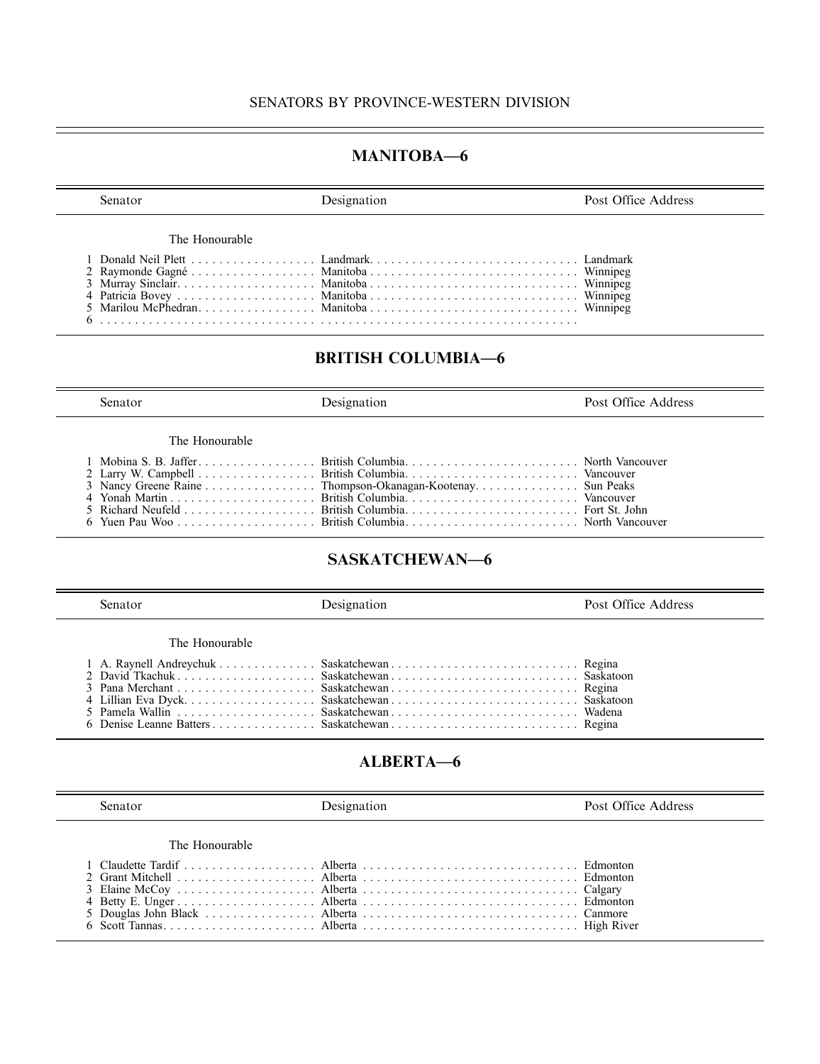## MANITOBA—6

| Senator        | Designation | Post Office Address |
|----------------|-------------|---------------------|
| The Honourable |             |                     |
|                |             |                     |

#### BRITISH COLUMBIA—6

Senator Designation Designation Post Office Address

#### The Honourable

|  | 3 Nancy Greene Raine Thompson-Okanagan-Kootenay. Sun Peaks |  |
|--|------------------------------------------------------------|--|
|  |                                                            |  |
|  |                                                            |  |
|  |                                                            |  |

## SASKATCHEWAN—6

Senator Designation Designation Post Office Address

The Honourable

## ALBERTA—6

| Senator        | Designation | Post Office Address |
|----------------|-------------|---------------------|
| The Honourable |             |                     |
|                |             |                     |
|                |             |                     |
|                |             |                     |
|                |             |                     |
|                |             |                     |
|                |             |                     |